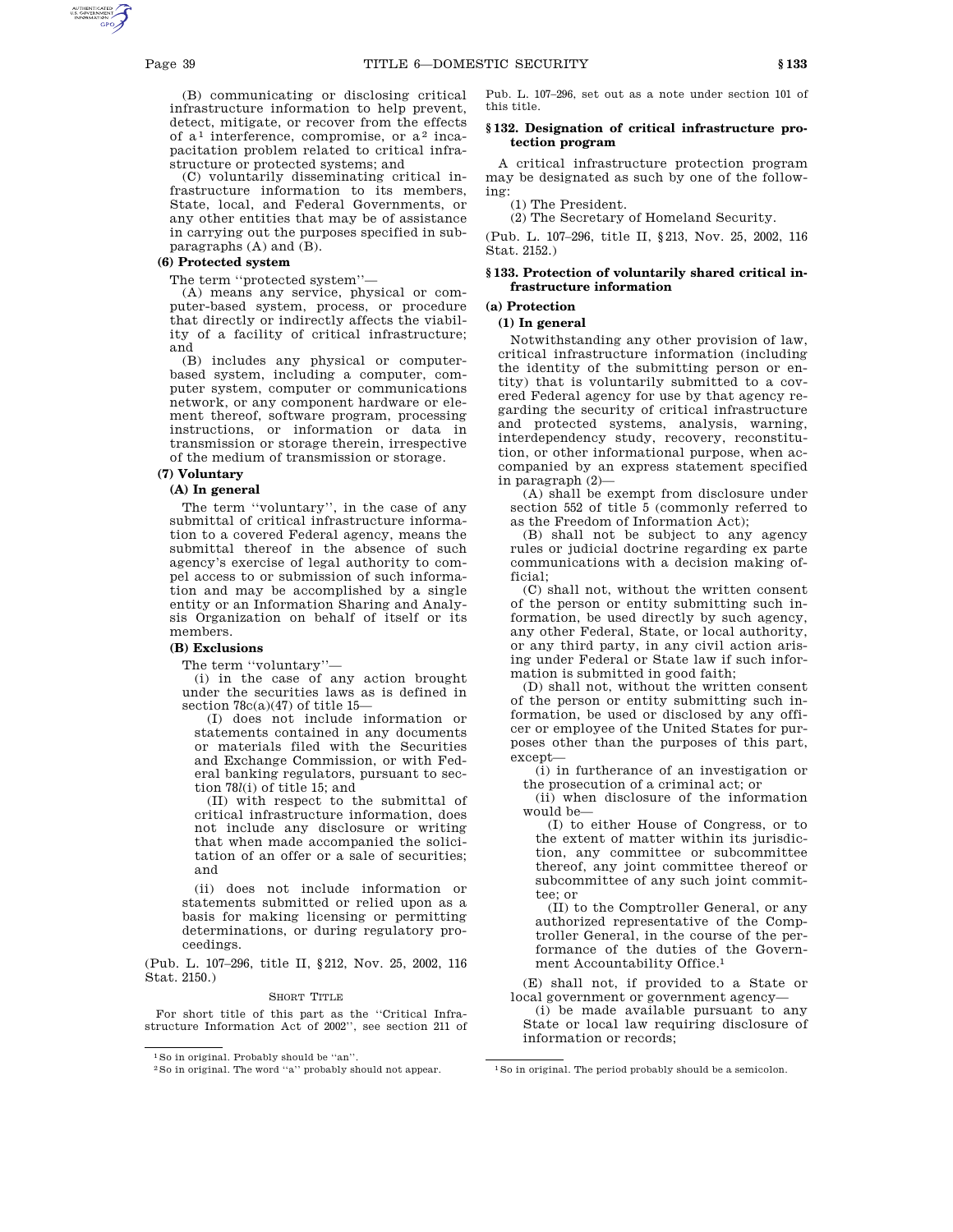(B) communicating or disclosing critical infrastructure information to help prevent, detect, mitigate, or recover from the effects of  $a<sup>1</sup>$  interference, compromise, or  $a<sup>2</sup>$  incapacitation problem related to critical infrastructure or protected systems; and

(C) voluntarily disseminating critical infrastructure information to its members, State, local, and Federal Governments, or any other entities that may be of assistance in carrying out the purposes specified in subparagraphs (A) and (B).

## **(6) Protected system**

The term "protected system"-

(A) means any service, physical or computer-based system, process, or procedure that directly or indirectly affects the viability of a facility of critical infrastructure; and

(B) includes any physical or computerbased system, including a computer, computer system, computer or communications network, or any component hardware or element thereof, software program, processing instructions, or information or data in transmission or storage therein, irrespective of the medium of transmission or storage.

## **(7) Voluntary**

## **(A) In general**

The term ''voluntary'', in the case of any submittal of critical infrastructure information to a covered Federal agency, means the submittal thereof in the absence of such agency's exercise of legal authority to compel access to or submission of such information and may be accomplished by a single entity or an Information Sharing and Analysis Organization on behalf of itself or its members.

## **(B) Exclusions**

The term ''voluntary''—

(i) in the case of any action brought under the securities laws as is defined in section  $78c(a)(47)$  of title 15-

(I) does not include information or statements contained in any documents or materials filed with the Securities and Exchange Commission, or with Federal banking regulators, pursuant to section 78*l*(i) of title 15; and

(II) with respect to the submittal of critical infrastructure information, does not include any disclosure or writing that when made accompanied the solicitation of an offer or a sale of securities; and

(ii) does not include information or statements submitted or relied upon as a basis for making licensing or permitting determinations, or during regulatory proceedings.

(Pub. L. 107–296, title II, §212, Nov. 25, 2002, 116 Stat. 2150.)

#### SHORT TITLE

For short title of this part as the ''Critical Infrastructure Information Act of 2002'', see section 211 of Pub. L. 107–296, set out as a note under section 101 of this title.

## **§ 132. Designation of critical infrastructure protection program**

A critical infrastructure protection program may be designated as such by one of the following:

(1) The President. (2) The Secretary of Homeland Security.

(Pub. L. 107–296, title II, §213, Nov. 25, 2002, 116 Stat. 2152.)

### **§ 133. Protection of voluntarily shared critical infrastructure information**

# **(a) Protection**

## **(1) In general**

Notwithstanding any other provision of law, critical infrastructure information (including the identity of the submitting person or entity) that is voluntarily submitted to a covered Federal agency for use by that agency regarding the security of critical infrastructure and protected systems, analysis, warning, interdependency study, recovery, reconstitution, or other informational purpose, when accompanied by an express statement specified in paragraph (2)—

(A) shall be exempt from disclosure under section 552 of title 5 (commonly referred to as the Freedom of Information Act);

(B) shall not be subject to any agency rules or judicial doctrine regarding ex parte communications with a decision making official;

(C) shall not, without the written consent of the person or entity submitting such information, be used directly by such agency, any other Federal, State, or local authority, or any third party, in any civil action arising under Federal or State law if such information is submitted in good faith;

(D) shall not, without the written consent of the person or entity submitting such information, be used or disclosed by any officer or employee of the United States for purposes other than the purposes of this part, except—

(i) in furtherance of an investigation or the prosecution of a criminal act; or

(ii) when disclosure of the information would be—

(I) to either House of Congress, or to the extent of matter within its jurisdiction, any committee or subcommittee thereof, any joint committee thereof or subcommittee of any such joint committee; or

(II) to the Comptroller General, or any authorized representative of the Comptroller General, in the course of the performance of the duties of the Government Accountability Office.1

(E) shall not, if provided to a State or local government or government agency—

(i) be made available pursuant to any State or local law requiring disclosure of information or records;

<sup>1</sup>So in original. Probably should be ''an''.

<sup>&</sup>lt;sup>2</sup>So in original. The word ''a'' probably should not appear. <sup>1</sup>So in original. The period probably should be a semicolon.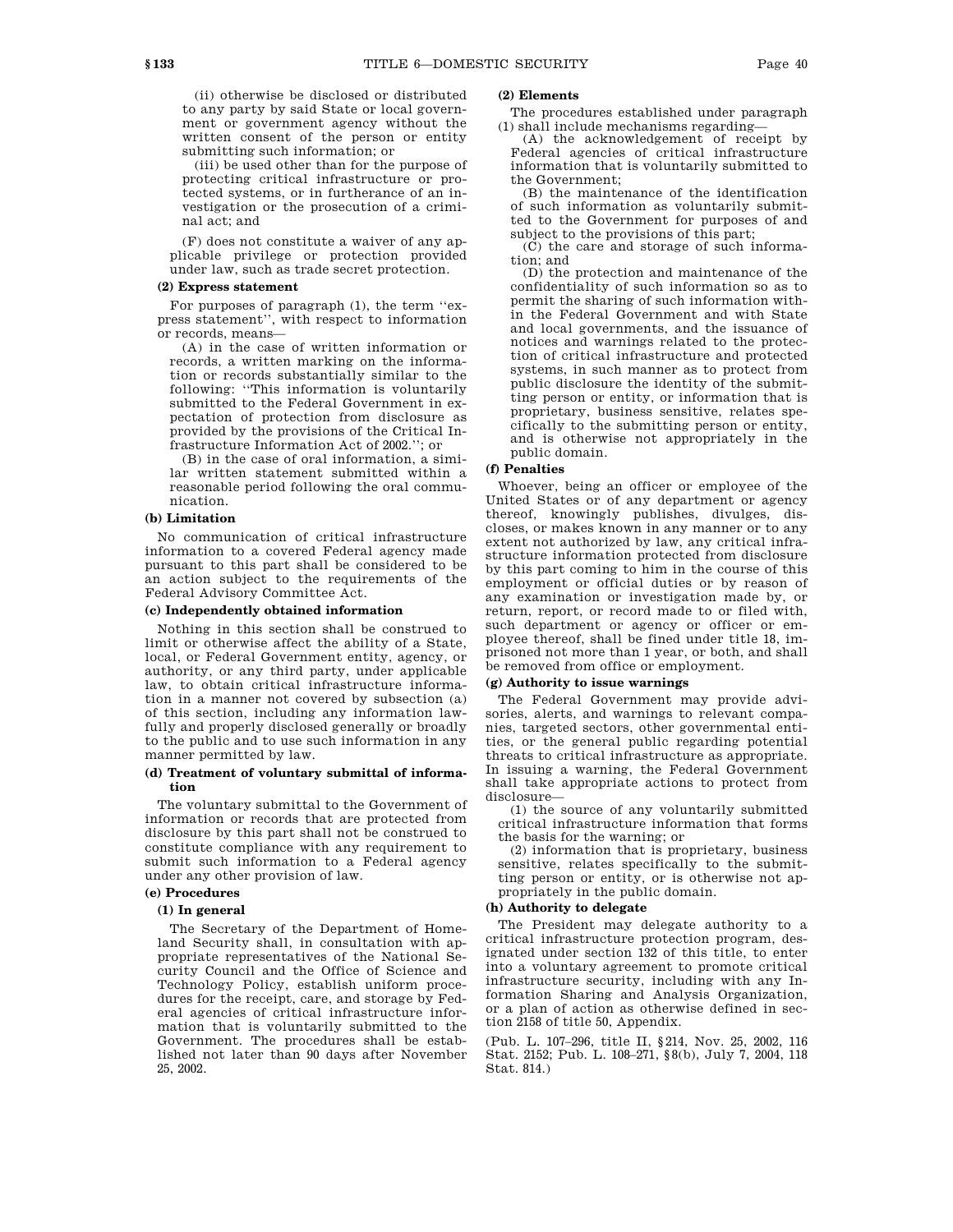(ii) otherwise be disclosed or distributed to any party by said State or local government or government agency without the

written consent of the person or entity

submitting such information; or (iii) be used other than for the purpose of protecting critical infrastructure or protected systems, or in furtherance of an investigation or the prosecution of a criminal act; and

(F) does not constitute a waiver of any applicable privilege or protection provided under law, such as trade secret protection.

### **(2) Express statement**

For purposes of paragraph (1), the term ''express statement'', with respect to information or records, means—

(A) in the case of written information or records, a written marking on the information or records substantially similar to the following: ''This information is voluntarily submitted to the Federal Government in expectation of protection from disclosure as provided by the provisions of the Critical Infrastructure Information Act of 2002.''; or

(B) in the case of oral information, a similar written statement submitted within a reasonable period following the oral communication.

## **(b) Limitation**

No communication of critical infrastructure information to a covered Federal agency made pursuant to this part shall be considered to be an action subject to the requirements of the Federal Advisory Committee Act.

### **(c) Independently obtained information**

Nothing in this section shall be construed to limit or otherwise affect the ability of a State, local, or Federal Government entity, agency, or authority, or any third party, under applicable law, to obtain critical infrastructure information in a manner not covered by subsection (a) of this section, including any information lawfully and properly disclosed generally or broadly to the public and to use such information in any manner permitted by law.

### **(d) Treatment of voluntary submittal of information**

The voluntary submittal to the Government of information or records that are protected from disclosure by this part shall not be construed to constitute compliance with any requirement to submit such information to a Federal agency under any other provision of law.

# **(e) Procedures**

### **(1) In general**

The Secretary of the Department of Homeland Security shall, in consultation with appropriate representatives of the National Security Council and the Office of Science and Technology Policy, establish uniform procedures for the receipt, care, and storage by Federal agencies of critical infrastructure information that is voluntarily submitted to the Government. The procedures shall be established not later than 90 days after November 25, 2002.

## **(2) Elements**

The procedures established under paragraph (1) shall include mechanisms regarding—

(A) the acknowledgement of receipt by Federal agencies of critical infrastructure information that is voluntarily submitted to the Government;

(B) the maintenance of the identification of such information as voluntarily submitted to the Government for purposes of and subject to the provisions of this part;

(C) the care and storage of such information; and

(D) the protection and maintenance of the confidentiality of such information so as to permit the sharing of such information within the Federal Government and with State and local governments, and the issuance of notices and warnings related to the protection of critical infrastructure and protected systems, in such manner as to protect from public disclosure the identity of the submitting person or entity, or information that is proprietary, business sensitive, relates specifically to the submitting person or entity, and is otherwise not appropriately in the public domain.

# **(f) Penalties**

Whoever, being an officer or employee of the United States or of any department or agency thereof, knowingly publishes, divulges, discloses, or makes known in any manner or to any extent not authorized by law, any critical infrastructure information protected from disclosure by this part coming to him in the course of this employment or official duties or by reason of any examination or investigation made by, or return, report, or record made to or filed with, such department or agency or officer or employee thereof, shall be fined under title 18, imprisoned not more than 1 year, or both, and shall be removed from office or employment.

## **(g) Authority to issue warnings**

The Federal Government may provide advisories, alerts, and warnings to relevant companies, targeted sectors, other governmental entities, or the general public regarding potential threats to critical infrastructure as appropriate. In issuing a warning, the Federal Government shall take appropriate actions to protect from disclosure—

(1) the source of any voluntarily submitted critical infrastructure information that forms the basis for the warning; or

(2) information that is proprietary, business sensitive, relates specifically to the submitting person or entity, or is otherwise not appropriately in the public domain.

## **(h) Authority to delegate**

The President may delegate authority to a critical infrastructure protection program, designated under section 132 of this title, to enter into a voluntary agreement to promote critical infrastructure security, including with any Information Sharing and Analysis Organization, or a plan of action as otherwise defined in section 2158 of title 50, Appendix.

(Pub. L. 107–296, title II, §214, Nov. 25, 2002, 116 Stat. 2152; Pub. L. 108–271, §8(b), July 7, 2004, 118 Stat. 814.)